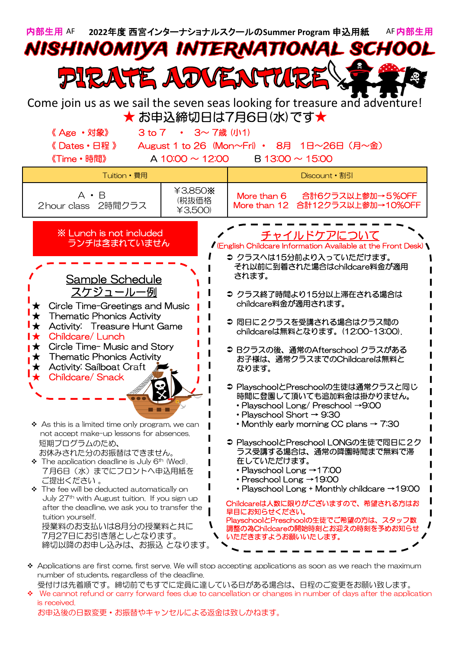

- number of students, regardless of the deadline. 受付けは先着順です。締切前でもすでに定員に達している日がある場合は、日程のご変更をお願い致します。
- We cannot refund or carry forward fees due to cancellation or changes in number of days after the application is received.

お申込後の日数変更・お振替やキャンセルによる返金は致しかねます。